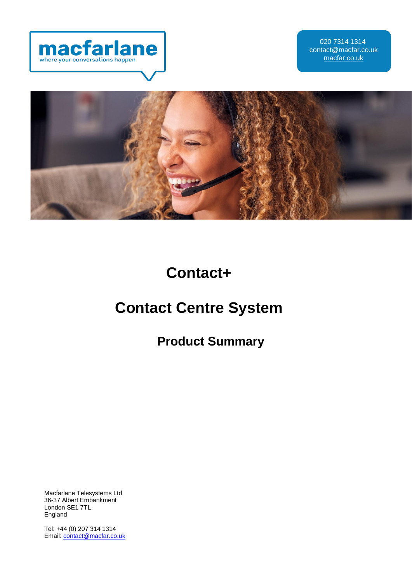



**Contact+**

# **Contact Centre System**

**Product Summary**

Macfarlane Telesystems Ltd 36-37 Albert Embankment London SE1 7TL England

Tel: +44 (0) 207 314 1314 Email[: contact@macfar.co.uk](mailto:contact@macfar.co.uk)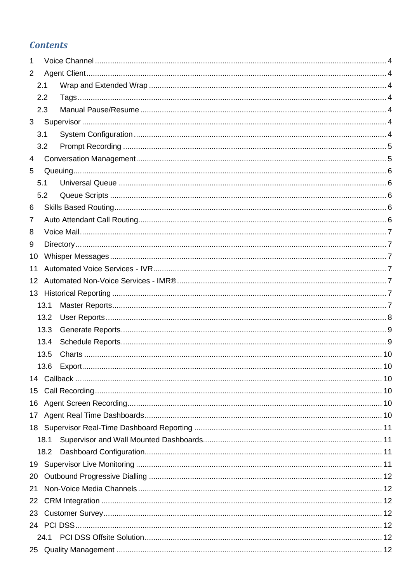# **Contents**

| 1               |        |         |    |
|-----------------|--------|---------|----|
| $\overline{2}$  |        |         |    |
|                 | 2.1    |         |    |
|                 | 2.2    |         |    |
|                 | 2.3    |         |    |
|                 |        |         |    |
|                 | 3.1    |         |    |
|                 | 3.2    |         |    |
| 4               |        |         |    |
| 5               |        |         |    |
|                 | 5.1    |         |    |
|                 | 5.2    |         |    |
| 6               |        |         |    |
| 7               |        |         |    |
| 8               |        |         |    |
| 9               |        |         |    |
| 10              |        |         |    |
| 11              |        |         |    |
| 12              |        |         |    |
| 13 <sup>7</sup> |        |         |    |
|                 | 13.1   |         |    |
|                 | 13.2   |         |    |
|                 | 13.3   |         |    |
|                 | 13.4   |         |    |
|                 | 13.5   |         |    |
|                 | 13.6 - | Export. | 10 |
|                 |        |         |    |
|                 |        |         |    |
|                 |        |         |    |
|                 |        |         |    |
|                 |        |         |    |
|                 | 18.1   |         |    |
|                 |        |         |    |
|                 |        |         |    |
| 20              |        |         |    |
| 21              |        |         |    |
| 22 <sub>2</sub> |        |         |    |
| 23              |        |         |    |
|                 |        |         |    |
|                 |        |         |    |
|                 |        |         |    |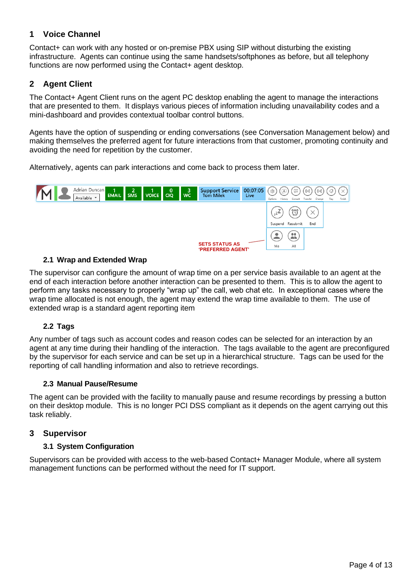## <span id="page-3-0"></span>**1 Voice Channel**

Contact+ can work with any hosted or on-premise PBX using SIP without disturbing the existing infrastructure. Agents can continue using the same handsets/softphones as before, but all telephony functions are now performed using the Contact+ agent desktop.

## <span id="page-3-1"></span>**2 Agent Client**

The Contact+ Agent Client runs on the agent PC desktop enabling the agent to manage the interactions that are presented to them. It displays various pieces of information including unavailability codes and a mini-dashboard and provides contextual toolbar control buttons.

Agents have the option of suspending or ending conversations (see Conversation Management below) and making themselves the preferred agent for future interactions from that customer, promoting continuity and avoiding the need for repetition by the customer.

Alternatively, agents can park interactions and come back to process them later.



#### <span id="page-3-2"></span>**2.1 Wrap and Extended Wrap**

The supervisor can configure the amount of wrap time on a per service basis available to an agent at the end of each interaction before another interaction can be presented to them. This is to allow the agent to perform any tasks necessary to properly "wrap up" the call, web chat etc. In exceptional cases where the wrap time allocated is not enough, the agent may extend the wrap time available to them. The use of extended wrap is a standard agent reporting item

#### <span id="page-3-3"></span>**2.2 Tags**

Any number of tags such as account codes and reason codes can be selected for an interaction by an agent at any time during their handling of the interaction. The tags available to the agent are preconfigured by the supervisor for each service and can be set up in a hierarchical structure. Tags can be used for the reporting of call handling information and also to retrieve recordings.

#### <span id="page-3-4"></span>**2.3 Manual Pause/Resume**

The agent can be provided with the facility to manually pause and resume recordings by pressing a button on their desktop module. This is no longer PCI DSS compliant as it depends on the agent carrying out this task reliably.

#### <span id="page-3-5"></span>**3 Supervisor**

#### **3.1 System Configuration**

<span id="page-3-6"></span>Supervisors can be provided with access to the web-based Contact+ Manager Module, where all system management functions can be performed without the need for IT support.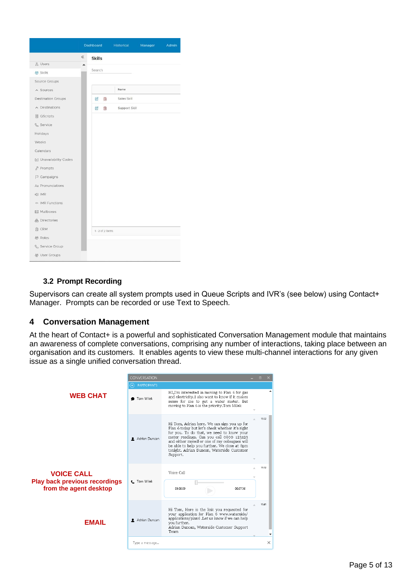|                            |       | <b>Dashboard</b>  | Historical    | Manager | Admin |
|----------------------------|-------|-------------------|---------------|---------|-------|
|                            | $\ll$ | <b>Skills</b>     |               |         |       |
| & Users                    | ▲     |                   |               |         |       |
| 용 Skills                   |       | Search            |               |         |       |
| Source Groups              |       |                   |               |         |       |
| $\land$ Sources            |       |                   | Name          |         |       |
| <b>Destination Groups</b>  |       | $\mathbb{Z}$<br>面 | Sales Skill   |         |       |
| $\land$ Destinations       |       | 而<br>$\mathbb{Z}$ | Support Skill |         |       |
| <b>■ QScripts</b>          |       |                   |               |         |       |
| & Service                  |       |                   |               |         |       |
| Holidays                   |       |                   |               |         |       |
| Weeks                      |       |                   |               |         |       |
| Calendars                  |       |                   |               |         |       |
| [x] Unavailability Codes   |       |                   |               |         |       |
| <b>P</b> Prompts           |       |                   |               |         |       |
| $\triangleright$ Campaigns |       |                   |               |         |       |
| Aa Pronunciations          |       |                   |               |         |       |
| <br>1MR                    |       |                   |               |         |       |
| <> IMR Functions           |       |                   |               |         |       |
| ⊠ Mailboxes                |       |                   |               |         |       |
| <b>岛</b> Directories       |       |                   |               |         |       |
| <b>图 CRM</b>               |       | 1 - 2 of 2 items  |               |         |       |
| 용 Roles                    |       |                   |               |         |       |
| & Service Group            |       |                   |               |         |       |
| 용 User Groups              |       |                   |               |         |       |

#### <span id="page-4-0"></span>**3.2 Prompt Recording**

Supervisors can create all system prompts used in Queue Scripts and IVR's (see below) using Contact+ Manager. Prompts can be recorded or use Text to Speech.

#### <span id="page-4-1"></span>**4 Conversation Management**

At the heart of Contact+ is a powerful and sophisticated Conversation Management module that maintains an awareness of complete conversations, comprising any number of interactions, taking place between an organisation and its customers. It enables agents to view these multi-channel interactions for any given issue as a single unified conversation thread.

<span id="page-4-2"></span>

|                                                                                     | <b>CONVERSATION</b> |                                                                                                                                                                                                                                                                                                                                                     | <b>Fill</b> |          |
|-------------------------------------------------------------------------------------|---------------------|-----------------------------------------------------------------------------------------------------------------------------------------------------------------------------------------------------------------------------------------------------------------------------------------------------------------------------------------------------|-------------|----------|
|                                                                                     | <b>PARTICIPANTS</b> |                                                                                                                                                                                                                                                                                                                                                     |             |          |
| <b>WEB CHAT</b>                                                                     | Tom Milek           | HI,I'm interested in moving to Plan 6 for gas<br>and electricity.I also want to know if it makes<br>sense for me to get a water meter. But<br>moving to Plan 6 is the priority. Tom Milek                                                                                                                                                           |             |          |
|                                                                                     | Adrian Duncan       | Hi Tom, Adrian here. We can sign you up for<br>Plan 6 today but let's check whether it's right<br>for you. To do that, we need to know your<br>meter readings. Can you call 0800 123123<br>and either myself or one of my colleagues will<br>be able to help you further. We close at 8pm<br>tonight. Adrian Duncan, Waterside Customer<br>Support. |             | 15:22    |
| <b>VOICE CALL</b><br><b>Play back previous recordings</b><br>from the agent desktop | t. Tom Milek        | Voice Call<br>00:07:36<br>00:00:00                                                                                                                                                                                                                                                                                                                  |             | 15:32    |
| <b>EMAIL</b>                                                                        | Adrian Duncan       | Hi Tom, Here is the link you requested for<br>your application for Plan 6 www.waterside/<br>applications/plan6 .Let us know if we can help<br>you further.<br>Adrian Duncan, Waterside Customer Support<br>Team                                                                                                                                     |             | 15:41    |
|                                                                                     | Type a message      |                                                                                                                                                                                                                                                                                                                                                     |             | $\times$ |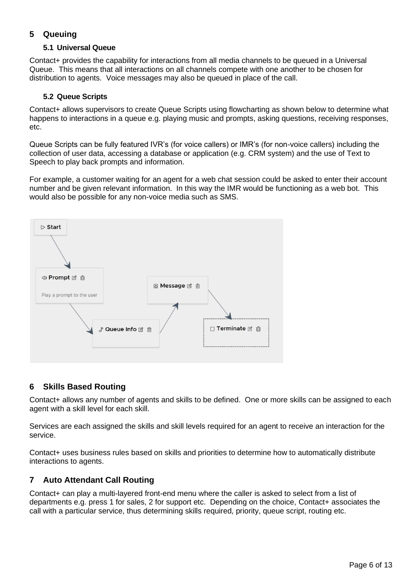## **5 Queuing**

#### **5.1 Universal Queue**

<span id="page-5-0"></span>Contact+ provides the capability for interactions from all media channels to be queued in a Universal Queue. This means that all interactions on all channels compete with one another to be chosen for distribution to agents. Voice messages may also be queued in place of the call.

#### <span id="page-5-1"></span>**5.2 Queue Scripts**

Contact+ allows supervisors to create Queue Scripts using flowcharting as shown below to determine what happens to interactions in a queue e.g. playing music and prompts, asking questions, receiving responses, etc.

Queue Scripts can be fully featured IVR's (for voice callers) or IMR's (for non-voice callers) including the collection of user data, accessing a database or application (e.g. CRM system) and the use of Text to Speech to play back prompts and information.

For example, a customer waiting for an agent for a web chat session could be asked to enter their account number and be given relevant information. In this way the IMR would be functioning as a web bot. This would also be possible for any non-voice media such as SMS.



#### <span id="page-5-2"></span>**6 Skills Based Routing**

Contact+ allows any number of agents and skills to be defined. One or more skills can be assigned to each agent with a skill level for each skill.

Services are each assigned the skills and skill levels required for an agent to receive an interaction for the service.

Contact+ uses business rules based on skills and priorities to determine how to automatically distribute interactions to agents.

## <span id="page-5-3"></span>**7 Auto Attendant Call Routing**

Contact+ can play a multi-layered front-end menu where the caller is asked to select from a list of departments e.g. press 1 for sales, 2 for support etc. Depending on the choice, Contact+ associates the call with a particular service, thus determining skills required, priority, queue script, routing etc.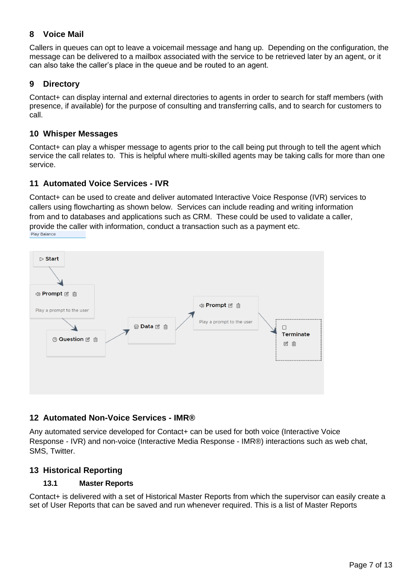## <span id="page-6-0"></span>**8 Voice Mail**

Callers in queues can opt to leave a voicemail message and hang up. Depending on the configuration, the message can be delivered to a mailbox associated with the service to be retrieved later by an agent, or it can also take the caller's place in the queue and be routed to an agent.

## <span id="page-6-1"></span>**9 Directory**

Contact+ can display internal and external directories to agents in order to search for staff members (with presence, if available) for the purpose of consulting and transferring calls, and to search for customers to call.

## <span id="page-6-2"></span>**10 Whisper Messages**

Contact+ can play a whisper message to agents prior to the call being put through to tell the agent which service the call relates to. This is helpful where multi-skilled agents may be taking calls for more than one service.

## <span id="page-6-3"></span>**11 Automated Voice Services - IVR**

Contact+ can be used to create and deliver automated Interactive Voice Response (IVR) services to callers using flowcharting as shown below. Services can include reading and writing information from and to databases and applications such as CRM. These could be used to validate a caller, provide the caller with information, conduct a transaction such as a payment etc.<br>Play Balance



## <span id="page-6-4"></span>**12 Automated Non-Voice Services - IMR®**

Any automated service developed for Contact+ can be used for both voice (Interactive Voice Response - IVR) and non-voice (Interactive Media Response - IMR®) interactions such as web chat, SMS, Twitter.

## <span id="page-6-5"></span>**13 Historical Reporting**

#### **13.1 Master Reports**

<span id="page-6-6"></span>Contact+ is delivered with a set of Historical Master Reports from which the supervisor can easily create a set of User Reports that can be saved and run whenever required. This is a list of Master Reports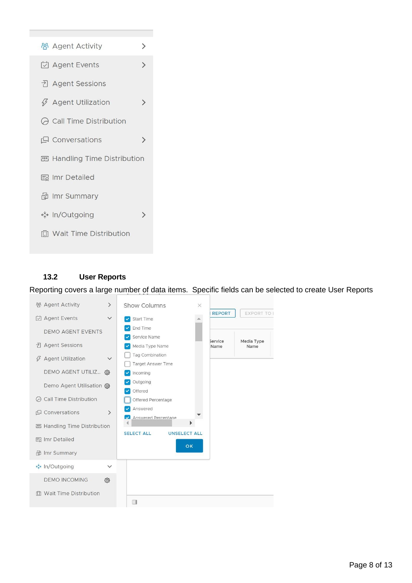

#### <span id="page-7-0"></span>**13.2 User Reports**

Reporting covers a large number of data items. Specific fields can be selected to create User Reports

| 용 Agent Activity                                                                                                                                                                | $\left\langle \right\rangle$ | <b>Show Columns</b><br>X                                                                                                                                                                  |
|---------------------------------------------------------------------------------------------------------------------------------------------------------------------------------|------------------------------|-------------------------------------------------------------------------------------------------------------------------------------------------------------------------------------------|
| □ Agent Events<br><b>DEMO AGENT EVENTS</b><br>귀 Agent Sessions<br><b>∅</b> Agent Utilization                                                                                    | $\checkmark$<br>$\checkmark$ | <b>REPORT</b><br><b>EXPORT TO I</b><br>Start Time<br>End Time<br>Service Name<br>Service<br>Media Type<br>Media Type Name<br>Name<br>Name<br>Tag Combination<br><b>Target Answer Time</b> |
| DEMO AGENT UTILIZ @<br>Demo Agent Utilisation @<br>○ Call Time Distribution<br><b>Q</b> Conversations<br><b>四 Handling Time Distribution</b><br>国 Imr Detailed<br>d Imr Summary | $\rightarrow$                | Incoming<br>Outgoing<br>Offered<br>Offered Percentage<br>Answered<br><b>Answered Percentage</b><br><b>SELECT ALL</b><br><b>UNSELECT ALL</b><br>OK                                         |
| ↔ In/Outgoing<br><b>DEMO INCOMING</b><br><b>f. Wait Time Distribution</b>                                                                                                       | $\checkmark$<br>හි           | $\Box$                                                                                                                                                                                    |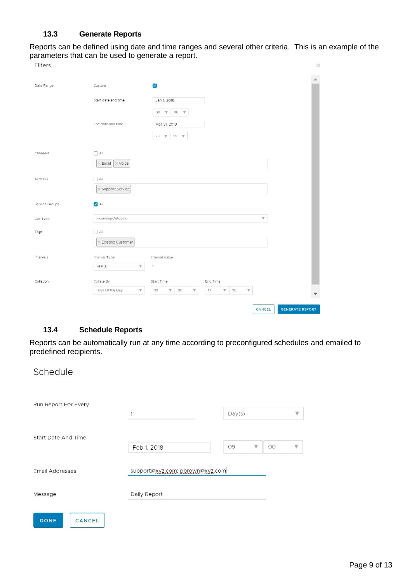#### **13.3 Generate Reports**

<span id="page-8-0"></span>Reports can be defined using date and time ranges and several other criteria. This is an example of the parameters that can be used to generate a report.

| Filters        |                                            |                                                                                                                          | $\times$                         |
|----------------|--------------------------------------------|--------------------------------------------------------------------------------------------------------------------------|----------------------------------|
| Date Range     | Custom                                     | $\blacktriangleright$                                                                                                    | A.                               |
|                | Start date and time                        | Jan 1, 2018                                                                                                              |                                  |
|                |                                            | $^{\circ}$<br>00<br>$\boldsymbol{\nabla}$<br>$\mathbf{\nabla}$                                                           |                                  |
|                | End date and time                          | Mar 31, 2018                                                                                                             |                                  |
|                |                                            | 23 $\mathbf{\nabla}$<br>59 W                                                                                             |                                  |
| Channels       | $\Box$ All                                 |                                                                                                                          |                                  |
|                | $\times$ Voice<br>$\times$ Email           |                                                                                                                          |                                  |
| Services       | $\Box$ All                                 |                                                                                                                          |                                  |
|                | $\times$ Support Service                   |                                                                                                                          |                                  |
| Service Groups | $\blacktriangleright$ All                  |                                                                                                                          |                                  |
| Call Type      | Incoming/Outgoing                          |                                                                                                                          | $\mathbb {V}$                    |
| Tags           | $\Box$ All                                 |                                                                                                                          |                                  |
|                | $\times$ Existing Customer                 |                                                                                                                          |                                  |
| Intervals      | Interval Type                              | Interval Value                                                                                                           |                                  |
|                | Year(s)<br>$\overline{\mathbf{v}}$         | $\mathbf{1}$                                                                                                             |                                  |
| Collation      | Collate By                                 | Start Time<br>End Time                                                                                                   |                                  |
|                | Hour Of the Day<br>$\overline{\mathbf{v}}$ | 09<br>00<br>17<br>30<br>$\overline{\mathbb{V}}$<br>$\overline{\mathbb{V}}$<br>$\boldsymbol{\mathrm{v}}$<br>$\mathbb {V}$ | Y                                |
|                |                                            |                                                                                                                          | <b>GENERATE REPORT</b><br>CANCEL |

## <span id="page-8-1"></span>**13.4 Schedule Reports**

Reports can be automatically run at any time according to preconfigured schedules and emailed to predefined recipients.

### Schedule

| Run Report For Every  | 1                               | Day(s)              | $\mathbb {V}$                 |
|-----------------------|---------------------------------|---------------------|-------------------------------|
| Start Date And Time   | Feb 1, 2018                     | 09<br>$\mathbb {V}$ | 00<br>$\overline{\mathbb{v}}$ |
| Email Addresses       | support@xyz.com; pbrown@xyz.com |                     |                               |
| Message               | Daily Report                    |                     |                               |
| <b>DONE</b><br>CANCEL |                                 |                     |                               |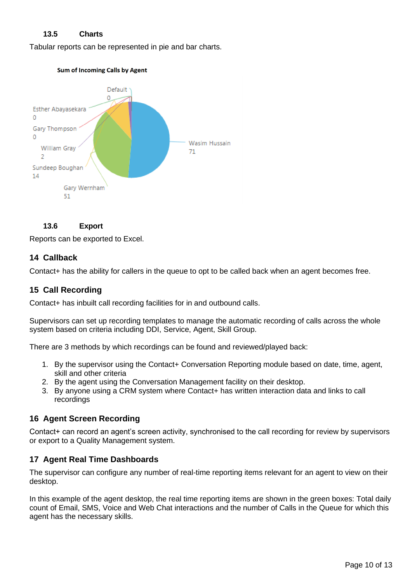#### **13.5 Charts**

<span id="page-9-0"></span>Tabular reports can be represented in pie and bar charts.



<span id="page-9-1"></span>

<span id="page-9-2"></span>Reports can be exported to Excel.

#### **14 Callback**

<span id="page-9-3"></span>Contact+ has the ability for callers in the queue to opt to be called back when an agent becomes free.

#### **15 Call Recording**

Contact+ has inbuilt call recording facilities for in and outbound calls.

Supervisors can set up recording templates to manage the automatic recording of calls across the whole system based on criteria including DDI, Service, Agent, Skill Group.

There are 3 methods by which recordings can be found and reviewed/played back:

- 1. By the supervisor using the Contact+ Conversation Reporting module based on date, time, agent, skill and other criteria
- 2. By the agent using the Conversation Management facility on their desktop.
- 3. By anyone using a CRM system where Contact+ has written interaction data and links to call recordings

#### <span id="page-9-4"></span>**16 Agent Screen Recording**

Contact+ can record an agent's screen activity, synchronised to the call recording for review by supervisors or export to a Quality Management system.

#### <span id="page-9-5"></span>**17 Agent Real Time Dashboards**

The supervisor can configure any number of real-time reporting items relevant for an agent to view on their desktop.

In this example of the agent desktop, the real time reporting items are shown in the green boxes: Total daily count of Email, SMS, Voice and Web Chat interactions and the number of Calls in the Queue for which this agent has the necessary skills.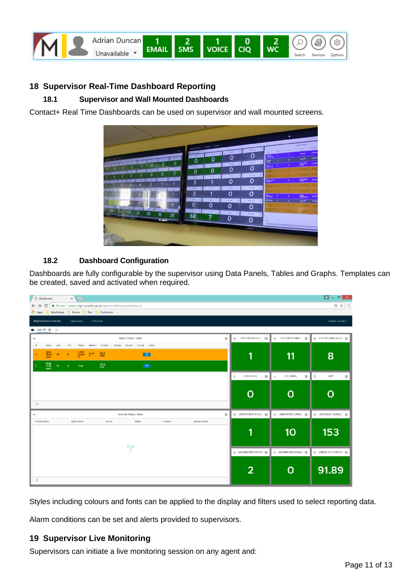

#### <span id="page-10-0"></span>**18 Supervisor Real-Time Dashboard Reporting**

#### **18.1 Supervisor and Wall Mounted Dashboards**

<span id="page-10-1"></span>Contact+ Real Time Dashboards can be used on supervisor and wall mounted screens.



#### <span id="page-10-2"></span>**18.2 Dashboard Configuration**

Dashboards are fully configurable by the supervisor using Data Panels, Tables and Graphs. Templates can be created, saved and activated when required.

| Dashboard<br>$x \sqrt{1}$                                                                                                |                         |                           | $\mathbf{E}$ - $\mathbf{d}$<br>$\mathbf{x}$ |
|--------------------------------------------------------------------------------------------------------------------------|-------------------------|---------------------------|---------------------------------------------|
| Secure   https://cp1.macfar.co.uk/reporter/#/home/dashboard<br>$\leftarrow$ $\rightarrow$ C                              |                         |                           | Q ☆ :                                       |
| Apps Macfarlane Demo Dev Customers                                                                                       |                         |                           |                                             |
| Macfarlane 240408402<br>Dashboard<br>Historical                                                                          |                         |                           | Wasim Hussain v                             |
| <b>a</b> Live CP1 ◎ ⊕                                                                                                    |                         |                           |                                             |
| Agent Status Table<br>÷                                                                                                  | + OFFERED VOICE @<br>ø  | + OFFERED EMAIL @         |                                             |
| <b>kd</b><br>Duration Channel Service Source Action<br>Ans<br>Out<br>Status<br>Reason<br>Name                            |                         |                           |                                             |
| Gary<br>Wern<br>Unav<br>ailabl<br>$rac{L}{h}$<br>$^{00.2}_{9.42}$<br>$\bullet$<br>$\mathbf{g}$<br>10 <sub>°</sub><br>ham | 1                       | 11                        | 8                                           |
| Wasi<br>m Hu<br>ssain<br>$\frac{00.2}{5.15}$<br>$\bullet$<br>12<br>$\circ$<br>Free                                       |                         |                           |                                             |
|                                                                                                                          | CIG VOICE<br>÷          | ÷<br>O)<br>CIG EMAIL<br>O | ÷<br>LWT<br>O)                              |
|                                                                                                                          |                         |                           |                                             |
|                                                                                                                          | O                       | O                         | O                                           |
|                                                                                                                          |                         |                           |                                             |
| $\Box$                                                                                                                   |                         |                           |                                             |
| Service Status Table<br>÷                                                                                                | ₿<br>+ ANSWERED VOICE @ | --- ANSWERED EMAIL @      |                                             |
| Agert Name<br>Source<br>Status<br>Duration<br>Media Channel<br>Service Name                                              |                         |                           |                                             |
|                                                                                                                          | 1                       | 10                        | 153                                         |
|                                                                                                                          |                         |                           |                                             |
| 7<br>÷                                                                                                                   |                         | +]+ ABANDONED EMAIL @     | --- GRADE OF SERVICE @                      |
|                                                                                                                          |                         |                           |                                             |
|                                                                                                                          | $\overline{2}$          | O                         | 91.89                                       |
|                                                                                                                          |                         |                           |                                             |
| $\begin{array}{c} \square \end{array}$                                                                                   |                         |                           |                                             |

Styles including colours and fonts can be applied to the display and filters used to select reporting data.

<span id="page-10-3"></span>Alarm conditions can be set and alerts provided to supervisors.

#### **19 Supervisor Live Monitoring**

Supervisors can initiate a live monitoring session on any agent and: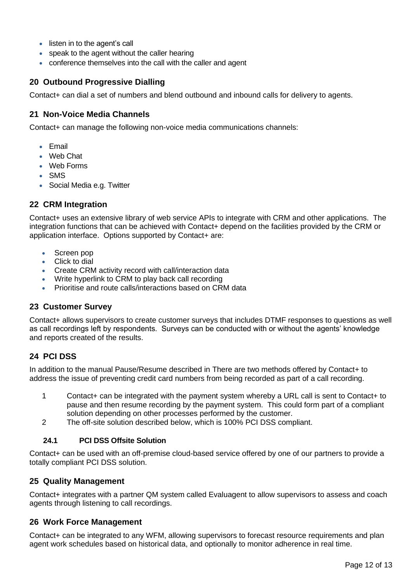- listen in to the agent's call
- speak to the agent without the caller hearing
- conference themselves into the call with the caller and agent

### <span id="page-11-0"></span>**20 Outbound Progressive Dialling**

<span id="page-11-1"></span>Contact+ can dial a set of numbers and blend outbound and inbound calls for delivery to agents.

#### **21 Non-Voice Media Channels**

Contact+ can manage the following non-voice media communications channels:

- Email
- Web Chat
- Web Forms
- SMS
- Social Media e.g. Twitter

#### <span id="page-11-2"></span>**22 CRM Integration**

Contact+ uses an extensive library of web service APIs to integrate with CRM and other applications. The integration functions that can be achieved with Contact+ depend on the facilities provided by the CRM or application interface. Options supported by Contact+ are:

- Screen pop
- Click to dial
- Create CRM activity record with call/interaction data
- Write hyperlink to CRM to play back call recording
- Prioritise and route calls/interactions based on CRM data

#### <span id="page-11-3"></span>**23 Customer Survey**

Contact+ allows supervisors to create customer surveys that includes DTMF responses to questions as well as call recordings left by respondents. Surveys can be conducted with or without the agents' knowledge and reports created of the results.

## <span id="page-11-4"></span>**24 PCI DSS**

In addition to the manual Pause/Resume described in There are two methods offered by Contact+ to address the issue of preventing credit card numbers from being recorded as part of a call recording.

- 1 Contact+ can be integrated with the payment system whereby a URL call is sent to Contact+ to pause and then resume recording by the payment system. This could form part of a compliant solution depending on other processes performed by the customer.
- <span id="page-11-5"></span>2 The off-site solution described below, which is 100% PCI DSS compliant.

#### **24.1 PCI DSS Offsite Solution**

Contact+ can be used with an off-premise cloud-based service offered by one of our partners to provide a totally compliant PCI DSS solution.

#### <span id="page-11-6"></span>**25 Quality Management**

Contact+ integrates with a partner QM system called Evaluagent to allow supervisors to assess and coach agents through listening to call recordings.

#### <span id="page-11-7"></span>**26 Work Force Management**

Contact+ can be integrated to any WFM, allowing supervisors to forecast resource requirements and plan agent work schedules based on historical data, and optionally to monitor adherence in real time.